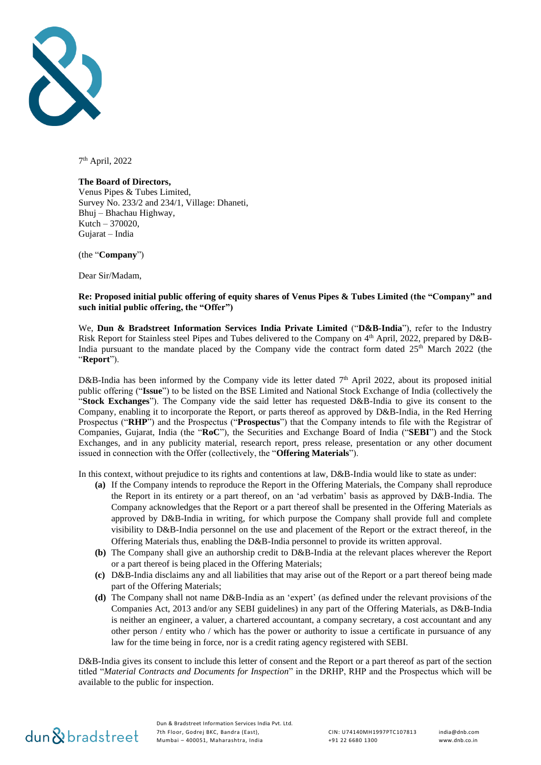

7 th April, 2022

#### **The Board of Directors,**

Venus Pipes & Tubes Limited, Survey No. 233/2 and 234/1, Village: Dhaneti, Bhuj – Bhachau Highway, Kutch – 370020, Gujarat – India

(the "**Company**")

Dear Sir/Madam,

#### **Re: Proposed initial public offering of equity shares of Venus Pipes & Tubes Limited (the "Company" and such initial public offering, the "Offer")**

We, **Dun & Bradstreet Information Services India Private Limited** ("**D&B-India**"), refer to the Industry Risk Report for Stainless steel Pipes and Tubes delivered to the Company on 4<sup>th</sup> April, 2022, prepared by D&B-India pursuant to the mandate placed by the Company vide the contract form dated  $25<sup>th</sup>$  March 2022 (the "**Report**").

D&B-India has been informed by the Company vide its letter dated  $7<sup>th</sup>$  April 2022, about its proposed initial public offering ("**Issue**") to be listed on the BSE Limited and National Stock Exchange of India (collectively the "**Stock Exchanges**"). The Company vide the said letter has requested D&B-India to give its consent to the Company, enabling it to incorporate the Report, or parts thereof as approved by D&B-India, in the Red Herring Prospectus ("**RHP**") and the Prospectus ("**Prospectus**") that the Company intends to file with the Registrar of Companies, Gujarat, India (the "**RoC**"), the Securities and Exchange Board of India ("**SEBI**") and the Stock Exchanges, and in any publicity material, research report, press release, presentation or any other document issued in connection with the Offer (collectively, the "**Offering Materials**").

In this context, without prejudice to its rights and contentions at law, D&B-India would like to state as under:

- **(a)** If the Company intends to reproduce the Report in the Offering Materials, the Company shall reproduce the Report in its entirety or a part thereof, on an 'ad verbatim' basis as approved by D&B-India. The Company acknowledges that the Report or a part thereof shall be presented in the Offering Materials as approved by D&B-India in writing, for which purpose the Company shall provide full and complete visibility to D&B-India personnel on the use and placement of the Report or the extract thereof, in the Offering Materials thus, enabling the D&B-India personnel to provide its written approval.
- **(b)** The Company shall give an authorship credit to D&B-India at the relevant places wherever the Report or a part thereof is being placed in the Offering Materials;
- **(c)** D&B-India disclaims any and all liabilities that may arise out of the Report or a part thereof being made part of the Offering Materials;
- **(d)** The Company shall not name D&B-India as an 'expert' (as defined under the relevant provisions of the Companies Act, 2013 and/or any SEBI guidelines) in any part of the Offering Materials, as D&B-India is neither an engineer, a valuer, a chartered accountant, a company secretary, a cost accountant and any other person / entity who / which has the power or authority to issue a certificate in pursuance of any law for the time being in force, nor is a credit rating agency registered with SEBI.

D&B-India gives its consent to include this letter of consent and the Report or a part thereof as part of the section titled "*Material Contracts and Documents for Inspection*" in the DRHP, RHP and the Prospectus which will be available to the public for inspection.

# dun & bradstreet

Dun & Bradstreet Information Services India Pvt. Ltd. 7th Floor, Godrej BKC, Bandra (East), Mumbai – 400051, Maharashtra, India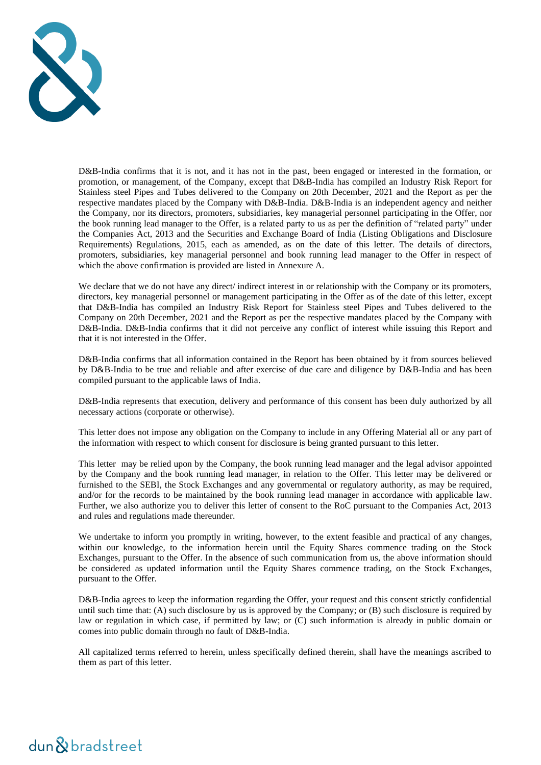

D&B-India confirms that it is not, and it has not in the past, been engaged or interested in the formation, or promotion, or management, of the Company, except that D&B-India has compiled an Industry Risk Report for Stainless steel Pipes and Tubes delivered to the Company on 20th December, 2021 and the Report as per the respective mandates placed by the Company with D&B-India. D&B-India is an independent agency and neither the Company, nor its directors, promoters, subsidiaries, key managerial personnel participating in the Offer, nor the book running lead manager to the Offer, is a related party to us as per the definition of "related party" under the Companies Act, 2013 and the Securities and Exchange Board of India (Listing Obligations and Disclosure Requirements) Regulations, 2015, each as amended, as on the date of this letter. The details of directors, promoters, subsidiaries, key managerial personnel and book running lead manager to the Offer in respect of which the above confirmation is provided are listed in Annexure A.

We declare that we do not have any direct/ indirect interest in or relationship with the Company or its promoters, directors, key managerial personnel or management participating in the Offer as of the date of this letter, except that D&B-India has compiled an Industry Risk Report for Stainless steel Pipes and Tubes delivered to the Company on 20th December, 2021 and the Report as per the respective mandates placed by the Company with D&B-India. D&B-India confirms that it did not perceive any conflict of interest while issuing this Report and that it is not interested in the Offer.

D&B-India confirms that all information contained in the Report has been obtained by it from sources believed by D&B-India to be true and reliable and after exercise of due care and diligence by D&B-India and has been compiled pursuant to the applicable laws of India.

D&B-India represents that execution, delivery and performance of this consent has been duly authorized by all necessary actions (corporate or otherwise).

This letter does not impose any obligation on the Company to include in any Offering Material all or any part of the information with respect to which consent for disclosure is being granted pursuant to this letter.

This letter may be relied upon by the Company, the book running lead manager and the legal advisor appointed by the Company and the book running lead manager, in relation to the Offer. This letter may be delivered or furnished to the SEBI, the Stock Exchanges and any governmental or regulatory authority, as may be required, and/or for the records to be maintained by the book running lead manager in accordance with applicable law. Further, we also authorize you to deliver this letter of consent to the RoC pursuant to the Companies Act, 2013 and rules and regulations made thereunder.

We undertake to inform you promptly in writing, however, to the extent feasible and practical of any changes, within our knowledge, to the information herein until the Equity Shares commence trading on the Stock Exchanges, pursuant to the Offer. In the absence of such communication from us, the above information should be considered as updated information until the Equity Shares commence trading, on the Stock Exchanges, pursuant to the Offer.

D&B-India agrees to keep the information regarding the Offer, your request and this consent strictly confidential until such time that: (A) such disclosure by us is approved by the Company; or (B) such disclosure is required by law or regulation in which case, if permitted by law; or (C) such information is already in public domain or comes into public domain through no fault of D&B-India.

All capitalized terms referred to herein, unless specifically defined therein, shall have the meanings ascribed to them as part of this letter.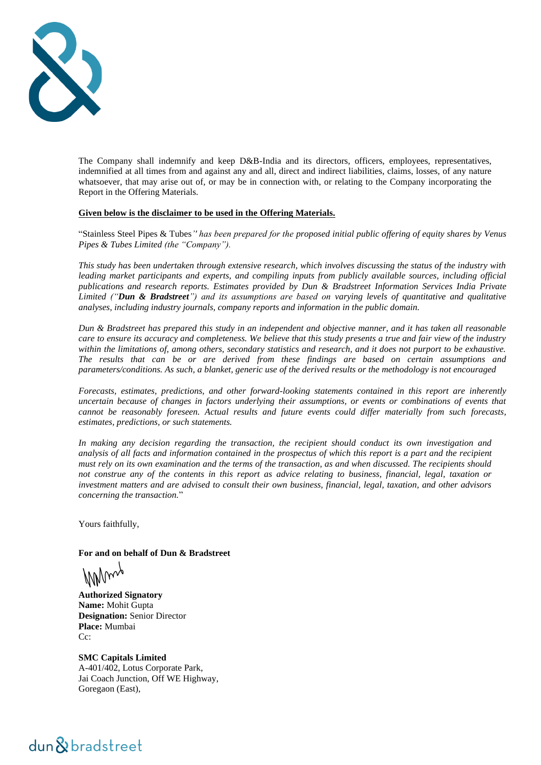

The Company shall indemnify and keep D&B-India and its directors, officers, employees, representatives, indemnified at all times from and against any and all, direct and indirect liabilities, claims, losses, of any nature whatsoever, that may arise out of, or may be in connection with, or relating to the Company incorporating the Report in the Offering Materials.

#### **Given below is the disclaimer to be used in the Offering Materials.**

"Stainless Steel Pipes & Tubes*'' has been prepared for the proposed initial public offering of equity shares by Venus Pipes & Tubes Limited (the "Company").*

*This study has been undertaken through extensive research, which involves discussing the status of the industry with leading market participants and experts, and compiling inputs from publicly available sources, including official publications and research reports. Estimates provided by Dun & Bradstreet Information Services India Private Limited ("Dun & Bradstreet") and its assumptions are based on varying levels of quantitative and qualitative analyses, including industry journals, company reports and information in the public domain.*

*Dun & Bradstreet has prepared this study in an independent and objective manner, and it has taken all reasonable care to ensure its accuracy and completeness. We believe that this study presents a true and fair view of the industry within the limitations of, among others, secondary statistics and research, and it does not purport to be exhaustive. The results that can be or are derived from these findings are based on certain assumptions and parameters/conditions. As such, a blanket, generic use of the derived results or the methodology is not encouraged*

*Forecasts, estimates, predictions, and other forward-looking statements contained in this report are inherently uncertain because of changes in factors underlying their assumptions, or events or combinations of events that cannot be reasonably foreseen. Actual results and future events could differ materially from such forecasts, estimates, predictions, or such statements.*

*In making any decision regarding the transaction, the recipient should conduct its own investigation and analysis of all facts and information contained in the prospectus of which this report is a part and the recipient must rely on its own examination and the terms of the transaction, as and when discussed. The recipients should not construe any of the contents in this report as advice relating to business, financial, legal, taxation or investment matters and are advised to consult their own business, financial, legal, taxation, and other advisors concerning the transaction.*"

Yours faithfully,

**For and on behalf of Dun & Bradstreet**

MMing

**Authorized Signatory Name:** Mohit Gupta **Designation:** Senior Director **Place:** Mumbai Cc:

**SMC Capitals Limited**  A-401/402, Lotus Corporate Park, Jai Coach Junction, Off WE Highway, Goregaon (East),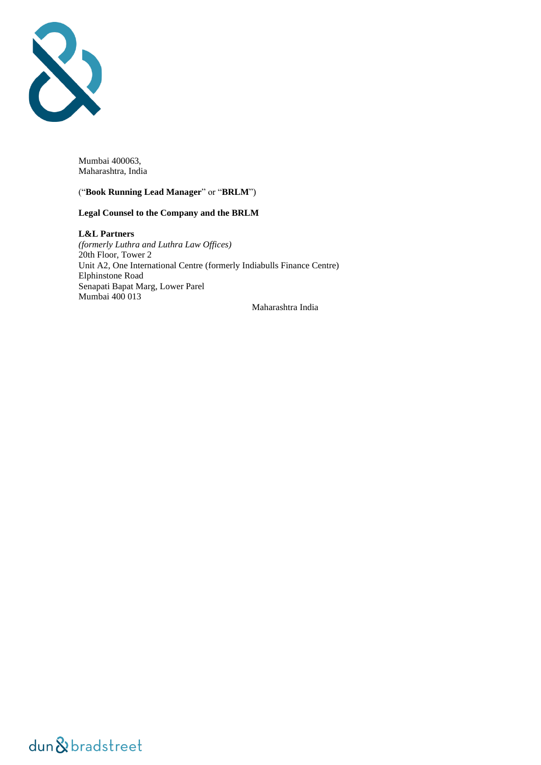

Mumbai 400063, Maharashtra, India

#### ("**Book Running Lead Manager**" or "**BRLM**")

#### **Legal Counsel to the Company and the BRLM**

**L&L Partners** *(formerly Luthra and Luthra Law Offices)* 20th Floor, Tower 2 Unit A2, One International Centre (formerly Indiabulls Finance Centre) Elphinstone Road Senapati Bapat Marg, Lower Parel Mumbai 400 013 Maharashtra India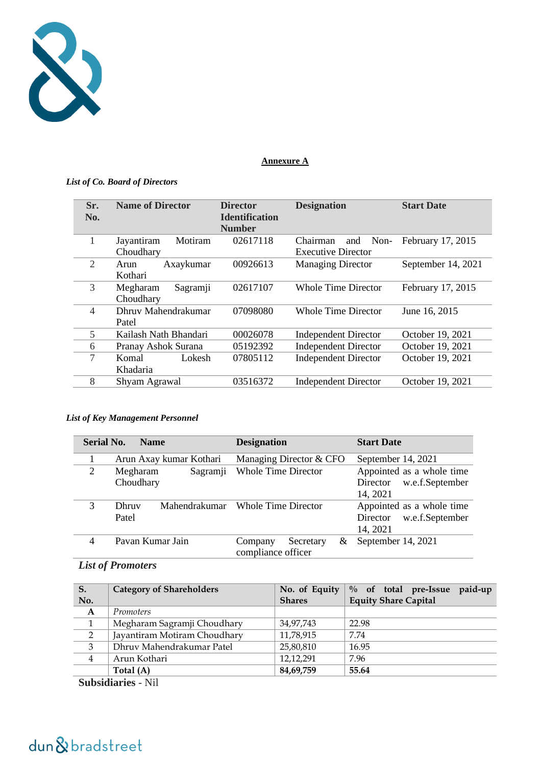

#### **Annexure A**

#### *List of Co. Board of Directors*

| <b>Number</b><br>02617118<br>1<br>Motiram<br>February 17, 2015<br>Non-<br>Jayantiram<br>and<br>Chairman<br>Choudhary<br><b>Executive Director</b> |  |
|---------------------------------------------------------------------------------------------------------------------------------------------------|--|
|                                                                                                                                                   |  |
|                                                                                                                                                   |  |
| 2<br>September 14, 2021<br>00926613<br><b>Managing Director</b><br>Axaykumar<br>Arun                                                              |  |
| Kothari                                                                                                                                           |  |
| 3<br>02617107<br><b>Whole Time Director</b><br>February 17, 2015<br>Megharam<br>Sagramji                                                          |  |
| Choudhary                                                                                                                                         |  |
| Dhruv Mahendrakumar<br>4<br>07098080<br>Whole Time Director<br>June 16, 2015                                                                      |  |
| Patel                                                                                                                                             |  |
| 5<br>Kailash Nath Bhandari<br>00026078<br>October 19, 2021<br><b>Independent Director</b>                                                         |  |
| <b>Independent Director</b><br>October 19, 2021<br>Pranay Ashok Surana<br>05192392<br>6                                                           |  |
| 7<br><b>Independent Director</b><br>October 19, 2021<br>07805112<br>Lokesh<br>Komal                                                               |  |
| Khadaria                                                                                                                                          |  |
| 03516372<br>8<br><b>Independent Director</b><br>October 19, 2021<br>Shyam Agrawal                                                                 |  |

#### *List of Key Management Personnel*

| <b>Serial No.</b> | <b>Name</b>             | <b>Designation</b>         | <b>Start Date</b>           |
|-------------------|-------------------------|----------------------------|-----------------------------|
|                   | Arun Axay kumar Kothari | Managing Director & CFO    | September 14, 2021          |
| 2                 | Megharam<br>Sagramji    | <b>Whole Time Director</b> | Appointed as a whole time   |
|                   | Choudhary               |                            | w.e.f.September<br>Director |
|                   |                         |                            | 14, 2021                    |
| 3                 | Mahendrakumar<br>Dhruv  | <b>Whole Time Director</b> | Appointed as a whole time   |
|                   | Patel                   |                            | w.e.f.September<br>Director |
|                   |                         |                            | 14, 2021                    |
| 4                 | Pavan Kumar Jain        | Secretary<br>Company<br>&  | September 14, 2021          |
|                   | compliance officer      |                            |                             |

### *List of Promoters*

| S.                        | <b>Category of Shareholders</b> | No. of Equity | $\%$ of total pre-Issue<br>paid-up |  |
|---------------------------|---------------------------------|---------------|------------------------------------|--|
| No.                       |                                 | <b>Shares</b> | <b>Equity Share Capital</b>        |  |
| $\mathbf{A}$              | <i>Promoters</i>                |               |                                    |  |
| $\mathbf{1}$              | Megharam Sagramji Choudhary     | 34,97,743     | 22.98                              |  |
| $\overline{2}$            | Jayantiram Motiram Choudhary    | 11,78,915     | 7.74                               |  |
| 3                         | Dhruv Mahendrakumar Patel       | 25,80,810     | 16.95                              |  |
| $\overline{4}$            | Arun Kothari                    | 12,12,291     | 7.96                               |  |
|                           | Total $(A)$                     | 84,69,759     | 55.64                              |  |
| <b>Subsidiaries - Nil</b> |                                 |               |                                    |  |